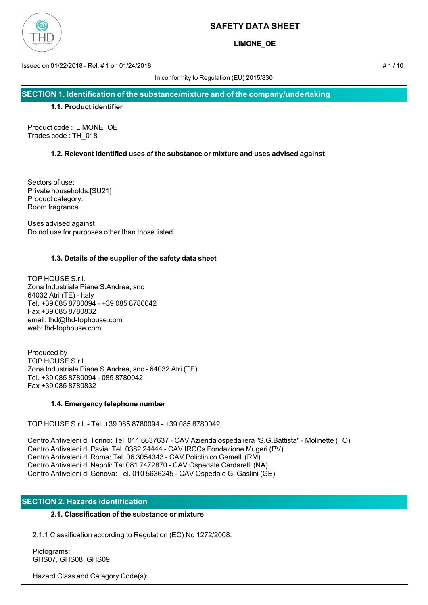

**LIMONE\_OE**

Issued on 01/22/2018 - Rel. # 1 on 01/24/2018 # 1 / 10

In conformity to Regulation (EU) 2015/830

**SECTION 1. Identification of the substance/mixture and of the company/undertaking**

# **1.1. Product identifier**

Product code : LIMONE\_OE Trades code : TH\_018

# **1.2. Relevant identified uses of the substance or mixture and uses advised against**

Sectors of use: Private households.[SU21] Product category: Room fragrance

Uses advised against Do not use for purposes other than those listed

# **1.3. Details of the supplier of the safety data sheet**

TOP HOUSE S.r.l. Zona Industriale Piane S.Andrea, snc 64032 Atri (TE) - Italy Tel. +39 085 8780094 - +39 085 8780042 Fax +39 085 8780832 email: thd@thd-tophouse.com web: thd-tophouse.com

Produced by TOP HOUSE S.r.l. Zona Industriale Piane S.Andrea, snc - 64032 Atri (TE) Tel. +39 085 8780094 - 085 8780042 Fax +39 085 8780832

# **1.4. Emergency telephone number**

TOP HOUSE S.r.l. - Tel. +39 085 8780094 - +39 085 8780042

Centro Antiveleni di Torino: Tel. 011 6637637 - CAV Azienda ospedaliera "S.G.Battista" - Molinette (TO) Centro Antiveleni di Pavia: Tel. 0382 24444 - CAV IRCCs Fondazione Mugeri (PV) Centro Antiveleni di Roma: Tel. 06 3054343 - CAV Policlinico Gemelli (RM) Centro Antiveleni di Napoli: Tel.081 7472870 - CAV Ospedale Cardarelli (NA) Centro Antiveleni di Genova: Tel. 010 5636245 - CAV Ospedale G. Gaslini (GE)

# **SECTION 2. Hazards identification**

# **2.1. Classification of the substance or mixture**

2.1.1 Classification according to Regulation (EC) No 1272/2008:

 Pictograms: GHS07, GHS08, GHS09

Hazard Class and Category Code(s):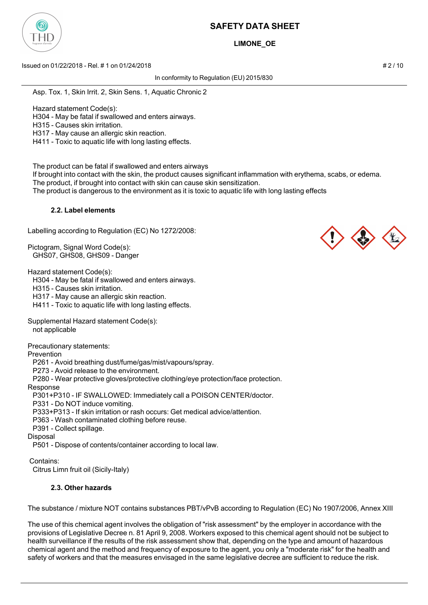

# **LIMONE\_OE**

Issued on 01/22/2018 - Rel. # 1 on 01/24/2018 # 2 / 10

In conformity to Regulation (EU) 2015/830

Asp. Tox. 1, Skin Irrit. 2, Skin Sens. 1, Aquatic Chronic 2

Hazard statement Code(s):

H304 - May be fatal if swallowed and enters airways.

H315 - Causes skin irritation.

H317 - May cause an allergic skin reaction.

H411 - Toxic to aquatic life with long lasting effects.

The product can be fatal if swallowed and enters airways

 If brought into contact with the skin, the product causes significant inflammation with erythema, scabs, or edema. The product, if brought into contact with skin can cause skin sensitization.

The product is dangerous to the environment as it is toxic to aquatic life with long lasting effects

### **2.2. Label elements**

Labelling according to Regulation (EC) No 1272/2008:

Pictogram, Signal Word Code(s): GHS07, GHS08, GHS09 - Danger

Hazard statement Code(s):

H304 - May be fatal if swallowed and enters airways.

H315 - Causes skin irritation.

H317 - May cause an allergic skin reaction.

H411 - Toxic to aquatic life with long lasting effects.

Supplemental Hazard statement Code(s):

not applicable

Precautionary statements:

**Prevention** 

P261 - Avoid breathing dust/fume/gas/mist/vapours/spray.

P273 - Avoid release to the environment.

P280 - Wear protective gloves/protective clothing/eye protection/face protection.

Response

P301+P310 - IF SWALLOWED: Immediately call a POISON CENTER/doctor.

P331 - Do NOT induce vomiting.

P333+P313 - If skin irritation or rash occurs: Get medical advice/attention.

P363 - Wash contaminated clothing before reuse.

P391 - Collect spillage.

Disposal

P501 - Dispose of contents/container according to local law.

Contains:

Citrus Limn fruit oil (Sicily-Italy)

# **2.3. Other hazards**

The substance / mixture NOT contains substances PBT/vPvB according to Regulation (EC) No 1907/2006, Annex XIII

The use of this chemical agent involves the obligation of "risk assessment" by the employer in accordance with the provisions of Legislative Decree n. 81 April 9, 2008. Workers exposed to this chemical agent should not be subject to health surveillance if the results of the risk assessment show that, depending on the type and amount of hazardous chemical agent and the method and frequency of exposure to the agent, you only a "moderate risk" for the health and safety of workers and that the measures envisaged in the same legislative decree are sufficient to reduce the risk.

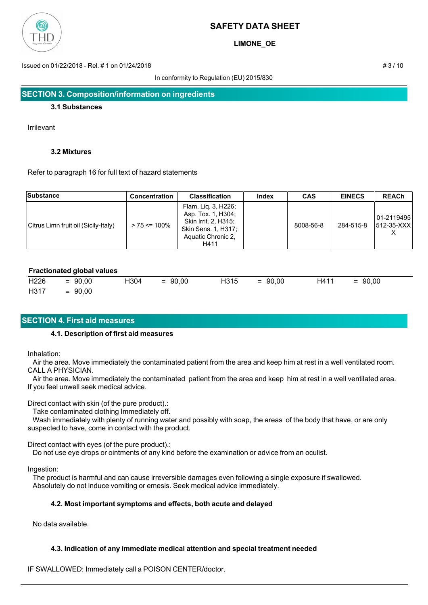

**LIMONE\_OE**

Issued on 01/22/2018 - Rel. # 1 on 01/24/2018 # 3 / 10

In conformity to Regulation (EU) 2015/830

### **3.1 Substances**

Irrilevant

### **3.2 Mixtures**

Refer to paragraph 16 for full text of hazard statements

| <b>Substance</b>                     | <b>Concentration</b> | <b>Classification</b>                                                                                                  | Index | <b>CAS</b> | <b>EINECS</b> | <b>REACh</b>               |
|--------------------------------------|----------------------|------------------------------------------------------------------------------------------------------------------------|-------|------------|---------------|----------------------------|
| Citrus Limn fruit oil (Sicily-Italy) | $> 75 \le 100\%$     | Flam. Lig. 3, H226;<br>Asp. Tox. 1, H304;<br>Skin Irrit. 2, H315;<br>Skin Sens. 1, H317;<br>Aquatic Chronic 2,<br>H411 |       | 8008-56-8  | 284-515-8     | 101-2119495<br>1512-35-XXX |

# **Fractionated global values**

|                | $H226 = 90,00$ | H304 | $= 90,00$ H315 $= 90,00$ |  | H411 | $= 90,00$ |
|----------------|----------------|------|--------------------------|--|------|-----------|
| $H317 = 90,00$ |                |      |                          |  |      |           |

# **SECTION 4. First aid measures**

# **4.1. Description of first aid measures**

Inhalation:

 Air the area. Move immediately the contaminated patient from the area and keep him at rest in a well ventilated room. CALL A PHYSICIAN.

 Air the area. Move immediately the contaminated patient from the area and keep him at rest in a well ventilated area. If you feel unwell seek medical advice.

Direct contact with skin (of the pure product).:

Take contaminated clothing Immediately off.

 Wash immediately with plenty of running water and possibly with soap, the areas of the body that have, or are only suspected to have, come in contact with the product.

Direct contact with eyes (of the pure product).:

Do not use eye drops or ointments of any kind before the examination or advice from an oculist.

Ingestion:

 The product is harmful and can cause irreversible damages even following a single exposure if swallowed. Absolutely do not induce vomiting or emesis. Seek medical advice immediately.

# **4.2. Most important symptoms and effects, both acute and delayed**

No data available.

# **4.3. Indication of any immediate medical attention and special treatment needed**

IF SWALLOWED: Immediately call a POISON CENTER/doctor.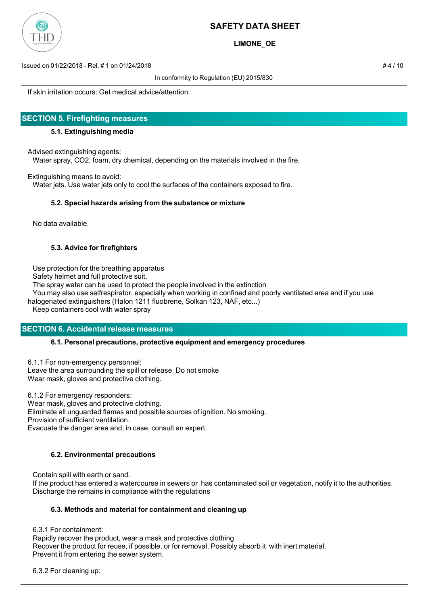

**LIMONE\_OE**

Issued on 01/22/2018 - Rel. # 1 on 01/24/2018 # 4 / 10

In conformity to Regulation (EU) 2015/830

If skin irritation occurs: Get medical advice/attention.

# **SECTION 5. Firefighting measures**

### **5.1. Extinguishing media**

Advised extinguishing agents:

Water spray, CO2, foam, dry chemical, depending on the materials involved in the fire.

Extinguishing means to avoid:

Water jets. Use water jets only to cool the surfaces of the containers exposed to fire.

### **5.2. Special hazards arising from the substance or mixture**

No data available.

# **5.3. Advice for firefighters**

Use protection for the breathing apparatus

Safety helmet and full protective suit.

The spray water can be used to protect the people involved in the extinction

 You may also use selfrespirator, especially when working in confined and poorly ventilated area and if you use halogenated extinguishers (Halon 1211 fluobrene, Solkan 123, NAF, etc...)

Keep containers cool with water spray

# **SECTION 6. Accidental release measures**

#### **6.1. Personal precautions, protective equipment and emergency procedures**

6.1.1 For non-emergency personnel: Leave the area surrounding the spill or release. Do not smoke Wear mask, gloves and protective clothing.

6.1.2 For emergency responders: Wear mask, gloves and protective clothing. Eliminate all unguarded flames and possible sources of ignition. No smoking. Provision of sufficient ventilation. Evacuate the danger area and, in case, consult an expert.

# **6.2. Environmental precautions**

Contain spill with earth or sand.

 If the product has entered a watercourse in sewers or has contaminated soil or vegetation, notify it to the authorities. Discharge the remains in compliance with the regulations

# **6.3. Methods and material for containment and cleaning up**

6.3.1 For containment:

 Rapidly recover the product, wear a mask and protective clothing Recover the product for reuse, if possible, or for removal. Possibly absorb it with inert material. Prevent it from entering the sewer system.

6.3.2 For cleaning up: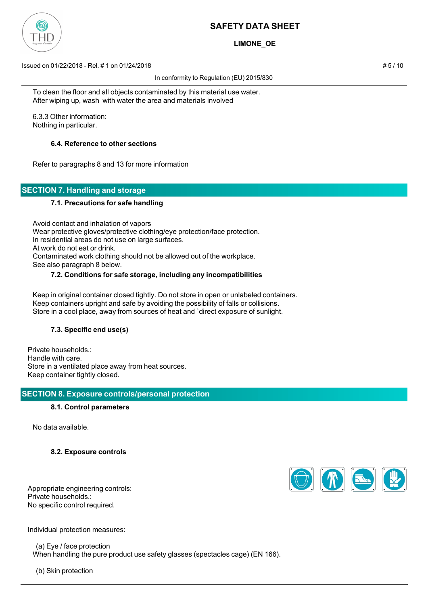

# **LIMONE\_OE**

Issued on 01/22/2018 - Rel. # 1 on 01/24/2018 # 5 / 10

In conformity to Regulation (EU) 2015/830

 To clean the floor and all objects contaminated by this material use water. After wiping up, wash with water the area and materials involved

 6.3.3 Other information: Nothing in particular.

# **6.4. Reference to other sections**

Refer to paragraphs 8 and 13 for more information

# **SECTION 7. Handling and storage**

# **7.1. Precautions for safe handling**

 Avoid contact and inhalation of vapors Wear protective gloves/protective clothing/eye protection/face protection. In residential areas do not use on large surfaces. At work do not eat or drink. Contaminated work clothing should not be allowed out of the workplace. See also paragraph 8 below.

# **7.2. Conditions for safe storage, including any incompatibilities**

 Keep in original container closed tightly. Do not store in open or unlabeled containers. Keep containers upright and safe by avoiding the possibility of falls or collisions. Store in a cool place, away from sources of heat and `direct exposure of sunlight.

# **7.3. Specific end use(s)**

Private households.: Handle with care. Store in a ventilated place away from heat sources. Keep container tightly closed.

# **SECTION 8. Exposure controls/personal protection**

# **8.1. Control parameters**

No data available.

# **8.2. Exposure controls**

Appropriate engineering controls: Private households.: No specific control required.



Individual protection measures:

 (a) Eye / face protection When handling the pure product use safety glasses (spectacles cage) (EN 166).

(b) Skin protection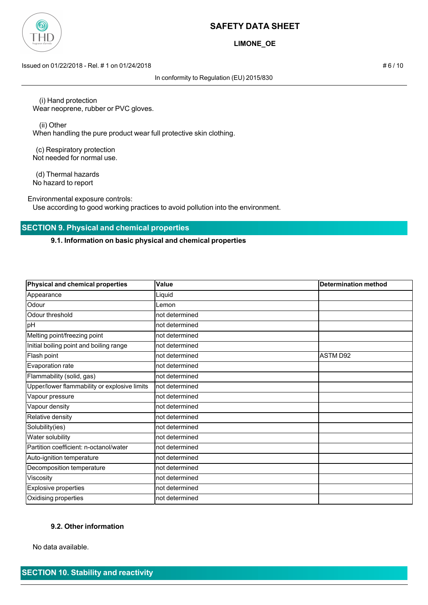

# **LIMONE\_OE**

Issued on 01/22/2018 - Rel. # 1 on 01/24/2018 # 6 / 10

In conformity to Regulation (EU) 2015/830

 (i) Hand protection Wear neoprene, rubber or PVC gloves.

 (ii) Other When handling the pure product wear full protective skin clothing.

 (c) Respiratory protection Not needed for normal use.

 (d) Thermal hazards No hazard to report

Environmental exposure controls:

Use according to good working practices to avoid pollution into the environment.

# **SECTION 9. Physical and chemical properties**

### **9.1. Information on basic physical and chemical properties**

| Physical and chemical properties             | Value           | <b>Determination method</b> |
|----------------------------------------------|-----------------|-----------------------------|
| Appearance                                   | Liquid          |                             |
| Odour                                        | _emon           |                             |
| Odour threshold                              | not determined  |                             |
| pH                                           | not determined  |                             |
| Melting point/freezing point                 | not determined  |                             |
| Initial boiling point and boiling range      | not determined  |                             |
| Flash point                                  | not determined  | <b>ASTM D92</b>             |
| Evaporation rate                             | not determined  |                             |
| Flammability (solid, gas)                    | not determined  |                             |
| Upper/lower flammability or explosive limits | Inot determined |                             |
| Vapour pressure                              | not determined  |                             |
| Vapour density                               | not determined  |                             |
| Relative density                             | not determined  |                             |
| Solubility(ies)                              | not determined  |                             |
| Water solubility                             | not determined  |                             |
| Partition coefficient: n-octanol/water       | not determined  |                             |
| Auto-ignition temperature                    | not determined  |                             |
| Decomposition temperature                    | not determined  |                             |
| Viscosity                                    | not determined  |                             |
| <b>Explosive properties</b>                  | not determined  |                             |
| Oxidising properties                         | not determined  |                             |

#### **9.2. Other information**

No data available.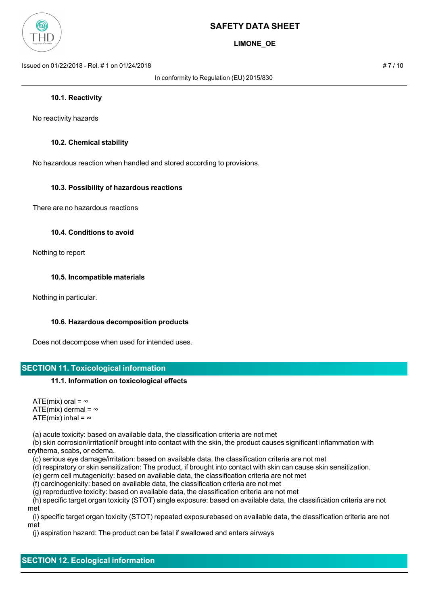

**LIMONE\_OE**

Issued on 01/22/2018 - Rel. # 1 on 01/24/2018 # 7 / 10

In conformity to Regulation (EU) 2015/830

#### **10.1. Reactivity**

No reactivity hazards

### **10.2. Chemical stability**

No hazardous reaction when handled and stored according to provisions.

### **10.3. Possibility of hazardous reactions**

There are no hazardous reactions

#### **10.4. Conditions to avoid**

Nothing to report

#### **10.5. Incompatible materials**

Nothing in particular.

#### **10.6. Hazardous decomposition products**

Does not decompose when used for intended uses.

# **SECTION 11. Toxicological information**

#### **11.1. Information on toxicological effects**

ATE(mix) oral =  $\infty$ ATE(mix) dermal =  $\infty$ ATE(mix) inhal =  $\infty$ 

(a) acute toxicity: based on available data, the classification criteria are not met

 (b) skin corrosion/irritationIf brought into contact with the skin, the product causes significant inflammation with erythema, scabs, or edema.

(c) serious eye damage/irritation: based on available data, the classification criteria are not met

(d) respiratory or skin sensitization: The product, if brought into contact with skin can cause skin sensitization.

(e) germ cell mutagenicity: based on available data, the classification criteria are not met

(f) carcinogenicity: based on available data, the classification criteria are not met

(g) reproductive toxicity: based on available data, the classification criteria are not met

 (h) specific target organ toxicity (STOT) single exposure: based on available data, the classification criteria are not met

 (i) specific target organ toxicity (STOT) repeated exposurebased on available data, the classification criteria are not met

(j) aspiration hazard: The product can be fatal if swallowed and enters airways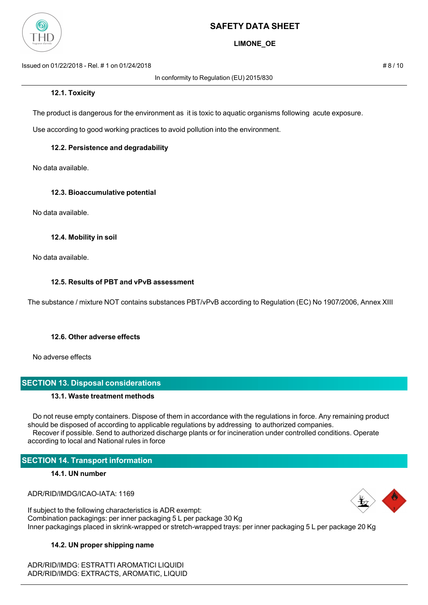

# **LIMONE\_OE**

Issued on 01/22/2018 - Rel. # 1 on 01/24/2018 # 8 / 10

In conformity to Regulation (EU) 2015/830

The product is dangerous for the environment as it is toxic to aquatic organisms following acute exposure.

Use according to good working practices to avoid pollution into the environment.

# **12.2. Persistence and degradability**

No data available.

# **12.3. Bioaccumulative potential**

No data available.

# **12.4. Mobility in soil**

No data available.

# **12.5. Results of PBT and vPvB assessment**

The substance / mixture NOT contains substances PBT/vPvB according to Regulation (EC) No 1907/2006, Annex XIII

# **12.6. Other adverse effects**

No adverse effects

# **SECTION 13. Disposal considerations**

# **13.1. Waste treatment methods**

 Do not reuse empty containers. Dispose of them in accordance with the regulations in force. Any remaining product should be disposed of according to applicable regulations by addressing to authorized companies. Recover if possible. Send to authorized discharge plants or for incineration under controlled conditions. Operate according to local and National rules in force

# **SECTION 14. Transport information**

# **14.1. UN number**

ADR/RID/IMDG/ICAO-IATA: 1169



If subject to the following characteristics is ADR exempt: Combination packagings: per inner packaging 5 L per package 30 Kg Inner packagings placed in skrink-wrapped or stretch-wrapped trays: per inner packaging 5 L per package 20 Kg

# **14.2. UN proper shipping name**

ADR/RID/IMDG: ESTRATTI AROMATICI LIQUIDI ADR/RID/IMDG: EXTRACTS, AROMATIC, LIQUID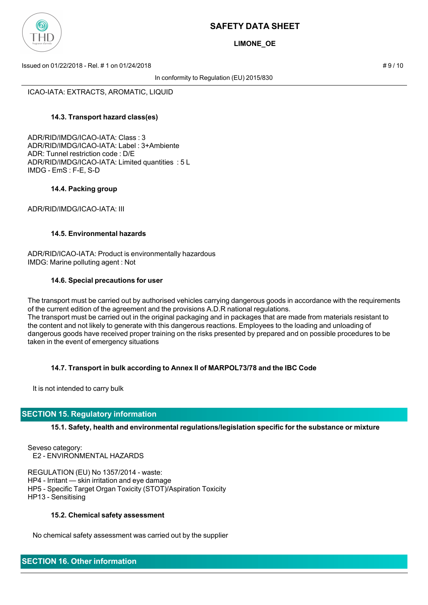

**LIMONE\_OE**

Issued on 01/22/2018 - Rel. # 1 on 01/24/2018 # 9 / 10

In conformity to Regulation (EU) 2015/830

ICAO-IATA: EXTRACTS, AROMATIC, LIQUID

# **14.3. Transport hazard class(es)**

ADR/RID/IMDG/ICAO-IATA: Class : 3 ADR/RID/IMDG/ICAO-IATA: Label : 3+Ambiente ADR: Tunnel restriction code : D/E ADR/RID/IMDG/ICAO-IATA: Limited quantities : 5 L IMDG - EmS : F-E, S-D

### **14.4. Packing group**

ADR/RID/IMDG/ICAO-IATA: III

### **14.5. Environmental hazards**

ADR/RID/ICAO-IATA: Product is environmentally hazardous IMDG: Marine polluting agent : Not

### **14.6. Special precautions for user**

The transport must be carried out by authorised vehicles carrying dangerous goods in accordance with the requirements of the current edition of the agreement and the provisions A.D.R national regulations. The transport must be carried out in the original packaging and in packages that are made from materials resistant to the content and not likely to generate with this dangerous reactions. Employees to the loading and unloading of dangerous goods have received proper training on the risks presented by prepared and on possible procedures to be taken in the event of emergency situations

# **14.7. Transport in bulk according to Annex II of MARPOL73/78 and the IBC Code**

It is not intended to carry bulk

# **SECTION 15. Regulatory information**

# **15.1. Safety, health and environmental regulations/legislation specific for the substance or mixture**

Seveso category: E2 - ENVIRONMENTAL HAZARDS

REGULATION (EU) No 1357/2014 - waste: HP4 - Irritant — skin irritation and eye damage HP5 - Specific Target Organ Toxicity (STOT)/Aspiration Toxicity HP13 - Sensitising

#### **15.2. Chemical safety assessment**

No chemical safety assessment was carried out by the supplier